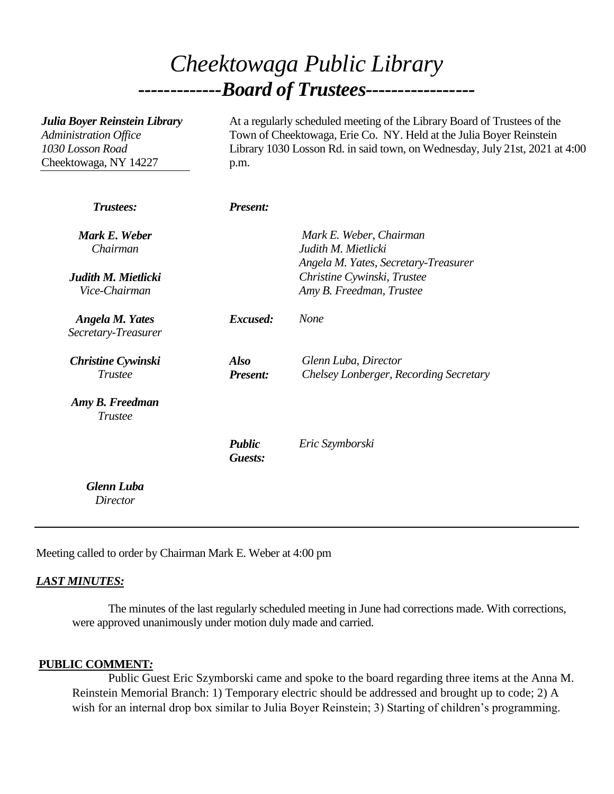# *Cheektowaga Public Library -------------Board of Trustees-----------------*

| Julia Boyer Reinstein Library<br>Administration Office<br>1030 Losson Road<br>Cheektowaga, NY 14227 | At a regularly scheduled meeting of the Library Board of Trustees of the<br>Town of Cheektowaga, Erie Co. NY. Held at the Julia Boyer Reinstein<br>Library 1030 Losson Rd. in said town, on Wednesday, July 21st, 2021 at 4:00<br>p.m. |                                                                                        |
|-----------------------------------------------------------------------------------------------------|----------------------------------------------------------------------------------------------------------------------------------------------------------------------------------------------------------------------------------------|----------------------------------------------------------------------------------------|
| <b>Trustees:</b>                                                                                    | <b>Present:</b>                                                                                                                                                                                                                        |                                                                                        |
| Mark E. Weber<br>Chairman                                                                           |                                                                                                                                                                                                                                        | Mark E. Weber, Chairman<br>Judith M. Mietlicki<br>Angela M. Yates, Secretary-Treasurer |
| Judith M. Mietlicki<br>Vice-Chairman                                                                |                                                                                                                                                                                                                                        | Christine Cywinski, Trustee<br>Amy B. Freedman, Trustee                                |
| <b>Angela M. Yates</b><br>Secretary-Treasurer                                                       | Excused:                                                                                                                                                                                                                               | None                                                                                   |
| <b>Christine Cywinski</b><br><b>Trustee</b>                                                         | <b>Also</b><br><b>Present:</b>                                                                                                                                                                                                         | Glenn Luba, Director<br>Chelsey Lonberger, Recording Secretary                         |
| Amy B. Freedman<br><b>Trustee</b>                                                                   |                                                                                                                                                                                                                                        |                                                                                        |
|                                                                                                     | <b>Public</b><br>Guests:                                                                                                                                                                                                               | Eric Szymborski                                                                        |
| <b>Glenn Luba</b><br><b>Director</b>                                                                |                                                                                                                                                                                                                                        |                                                                                        |

Meeting called to order by Chairman Mark E. Weber at 4:00 pm

#### *LAST MINUTES:*

The minutes of the last regularly scheduled meeting in June had corrections made. With corrections, were approved unanimously under motion duly made and carried.

## **PUBLIC COMMENT***:*

Public Guest Eric Szymborski came and spoke to the board regarding three items at the Anna M. Reinstein Memorial Branch: 1) Temporary electric should be addressed and brought up to code; 2) A wish for an internal drop box similar to Julia Boyer Reinstein; 3) Starting of children's programming.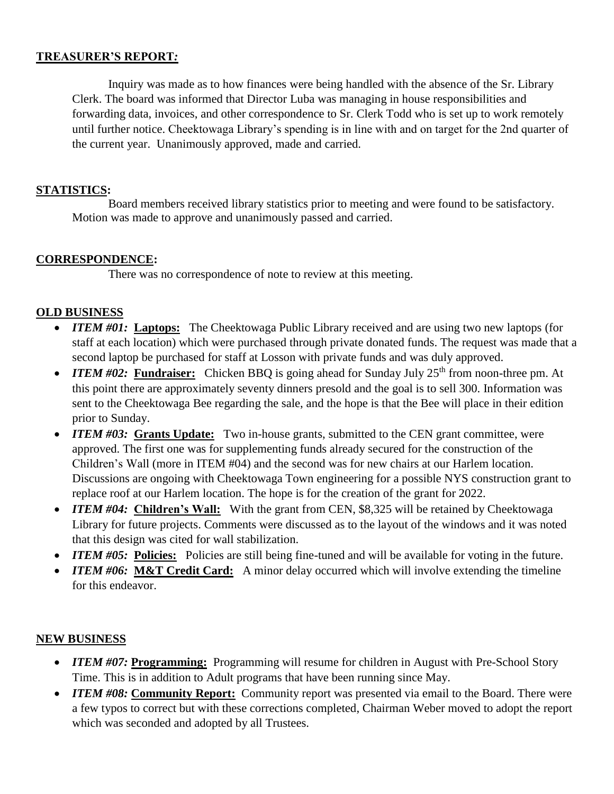#### **TREASURER'S REPORT***:*

Inquiry was made as to how finances were being handled with the absence of the Sr. Library Clerk. The board was informed that Director Luba was managing in house responsibilities and forwarding data, invoices, and other correspondence to Sr. Clerk Todd who is set up to work remotely until further notice. Cheektowaga Library's spending is in line with and on target for the 2nd quarter of the current year. Unanimously approved, made and carried.

#### **STATISTICS:**

Board members received library statistics prior to meeting and were found to be satisfactory. Motion was made to approve and unanimously passed and carried.

## **CORRESPONDENCE:**

There was no correspondence of note to review at this meeting.

## **OLD BUSINESS**

- *ITEM #01:* **Laptops:** The Cheektowaga Public Library received and are using two new laptops (for staff at each location) which were purchased through private donated funds. The request was made that a second laptop be purchased for staff at Losson with private funds and was duly approved.
- *ITEM #02:* Fundraiser: Chicken BBQ is going ahead for Sunday July 25<sup>th</sup> from noon-three pm. At this point there are approximately seventy dinners presold and the goal is to sell 300. Information was sent to the Cheektowaga Bee regarding the sale, and the hope is that the Bee will place in their edition prior to Sunday.
- *ITEM #03:* Grants Update: Two in-house grants, submitted to the CEN grant committee, were approved. The first one was for supplementing funds already secured for the construction of the Children's Wall (more in ITEM #04) and the second was for new chairs at our Harlem location. Discussions are ongoing with Cheektowaga Town engineering for a possible NYS construction grant to replace roof at our Harlem location. The hope is for the creation of the grant for 2022.
- *ITEM #04*: Children's Wall: With the grant from CEN, \$8,325 will be retained by Cheektowaga Library for future projects. Comments were discussed as to the layout of the windows and it was noted that this design was cited for wall stabilization.
- *ITEM #05:* Policies: Policies are still being fine-tuned and will be available for voting in the future.
- *ITEM #06:* **M&T Credit Card:** A minor delay occurred which will involve extending the timeline for this endeavor.

## **NEW BUSINESS**

- *ITEM #07:* Programming: Programming will resume for children in August with Pre-School Story Time. This is in addition to Adult programs that have been running since May.
- *ITEM #08:* Community Report: Community report was presented via email to the Board. There were a few typos to correct but with these corrections completed, Chairman Weber moved to adopt the report which was seconded and adopted by all Trustees.